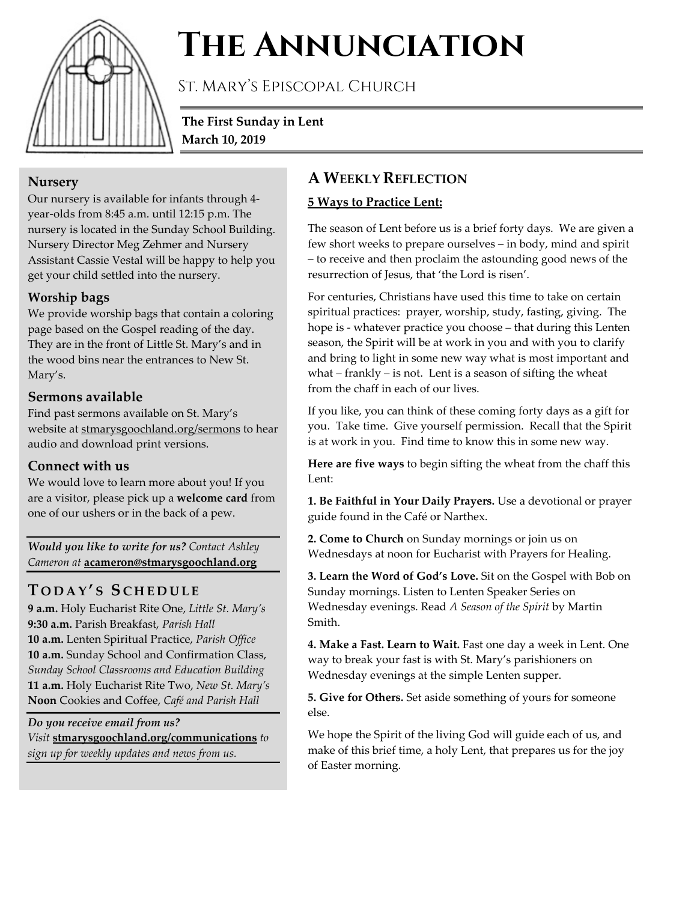

# **The Annunciation**

St. Mary's Episcopal Church

**The First Sunday in Lent March 10, 2019**

#### **Nursery**

Our nursery is available for infants through 4 year-olds from 8:45 a.m. until 12:15 p.m. The nursery is located in the Sunday School Building. Nursery Director Meg Zehmer and Nursery Assistant Cassie Vestal will be happy to help you get your child settled into the nursery.

### **Worship bags**

We provide worship bags that contain a coloring page based on the Gospel reading of the day. They are in the front of Little St. Mary's and in the wood bins near the entrances to New St. Mary's.

#### **Sermons available**

Find past sermons available on St. Mary's website at stmarysgoochland.org/sermons to hear audio and download print versions.

## **Connect with us**

We would love to learn more about you! If you are a visitor, please pick up a **welcome card** from one of our ushers or in the back of a pew.

*Would you like to write for us? Contact Ashley Cameron at* **acameron@stmarysgoochland.org**

# **T ODAY ' S S CHEDULE**

**9 a.m.** Holy Eucharist Rite One, *Little St. Mary's* **9:30 a.m.** Parish Breakfast, *Parish Hall* **10 a.m.** Lenten Spiritual Practice, *Parish Office* **10 a.m.** Sunday School and Confirmation Class, *Sunday School Classrooms and Education Building* **11 a.m.** Holy Eucharist Rite Two, *New St. Mary's* **Noon** Cookies and Coffee, *Café and Parish Hall*

*Do you receive email from us? Visit* **stmarysgoochland.org/communications** *to sign up for weekly updates and news from us.*

# **A WEEKLY REFLECTION**

#### **5 Ways to Practice Lent:**

The season of Lent before us is a brief forty days. We are given a few short weeks to prepare ourselves – in body, mind and spirit – to receive and then proclaim the astounding good news of the resurrection of Jesus, that 'the Lord is risen'.

For centuries, Christians have used this time to take on certain spiritual practices: prayer, worship, study, fasting, giving. The hope is - whatever practice you choose – that during this Lenten season, the Spirit will be at work in you and with you to clarify and bring to light in some new way what is most important and what  $-$  frankly  $-$  is not. Lent is a season of sifting the wheat from the chaff in each of our lives.

If you like, you can think of these coming forty days as a gift for you. Take time. Give yourself permission. Recall that the Spirit is at work in you. Find time to know this in some new way.

**Here are five ways** to begin sifting the wheat from the chaff this Lent:

**1. Be Faithful in Your Daily Prayers.** Use a devotional or prayer guide found in the Café or Narthex.

**2. Come to Church** on Sunday mornings or join us on Wednesdays at noon for Eucharist with Prayers for Healing.

**3. Learn the Word of God's Love.** Sit on the Gospel with Bob on Sunday mornings. Listen to Lenten Speaker Series on Wednesday evenings. Read *A Season of the Spirit* by Martin Smith.

**4. Make a Fast. Learn to Wait.** Fast one day a week in Lent. One way to break your fast is with St. Mary's parishioners on Wednesday evenings at the simple Lenten supper.

**5. Give for Others.** Set aside something of yours for someone else.

We hope the Spirit of the living God will guide each of us, and make of this brief time, a holy Lent, that prepares us for the joy of Easter morning.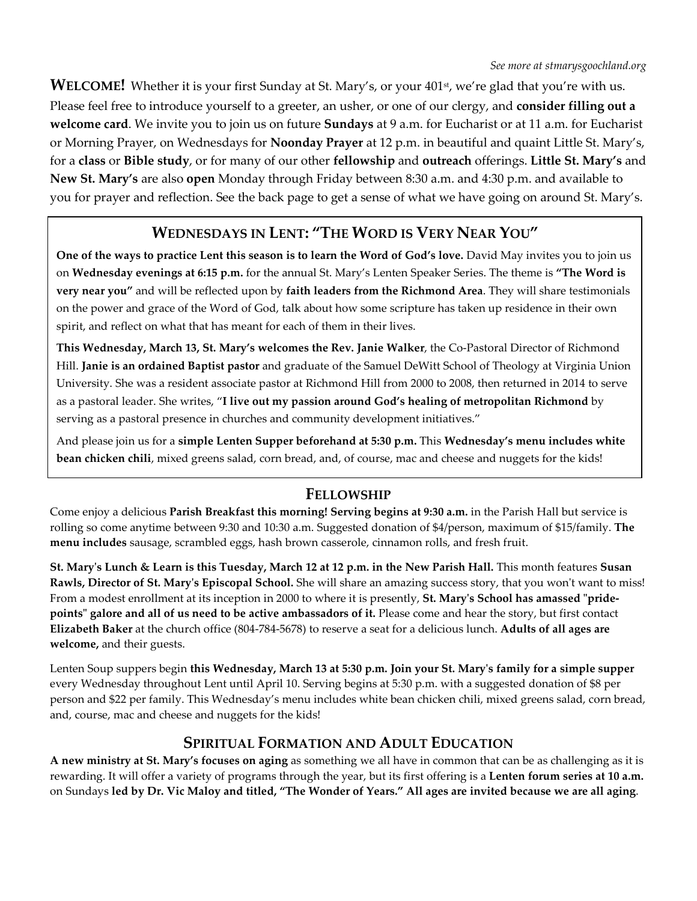**WELCOME!** Whether it is your first Sunday at St. Mary's, or your 401<sup>st</sup>, we're glad that you're with us. Please feel free to introduce yourself to a greeter, an usher, or one of our clergy, and **consider filling out a welcome card**. We invite you to join us on future **Sundays** at 9 a.m. for Eucharist or at 11 a.m. for Eucharist or Morning Prayer, on Wednesdays for **Noonday Prayer** at 12 p.m. in beautiful and quaint Little St. Mary's, for a **class** or **Bible study**, or for many of our other **fellowship** and **outreach** offerings. **Little St. Mary's** and **New St. Mary's** are also **open** Monday through Friday between 8:30 a.m. and 4:30 p.m. and available to you for prayer and reflection. See the back page to get a sense of what we have going on around St. Mary's.

## **WEDNESDAYS IN LENT: "THE WORD IS VERY NEAR YOU"**

**One of the ways to practice Lent this season is to learn the Word of God's love.** David May invites you to join us on **Wednesday evenings at 6:15 p.m.** for the annual St. Mary's Lenten Speaker Series. The theme is **"The Word is very near you"** and will be reflected upon by **faith leaders from the Richmond Area**. They will share testimonials on the power and grace of the Word of God, talk about how some scripture has taken up residence in their own spirit, and reflect on what that has meant for each of them in their lives.

**This Wednesday, March 13, St. Mary's welcomes the Rev. Janie Walker**, the Co-Pastoral Director of Richmond Hill. **Janie is an ordained Baptist pastor** and graduate of the Samuel DeWitt School of Theology at Virginia Union University. She was a resident associate pastor at Richmond Hill from 2000 to 2008, then returned in 2014 to serve as a pastoral leader. She writes, "**I live out my passion around God's healing of metropolitan Richmond** by serving as a pastoral presence in churches and community development initiatives."

And please join us for a **simple Lenten Supper beforehand at 5:30 p.m.** This **Wednesday's menu includes white bean chicken chili**, mixed greens salad, corn bread, and, of course, mac and cheese and nuggets for the kids!

#### **FELLOWSHIP**

Come enjoy a delicious **Parish Breakfast this morning! Serving begins at 9:30 a.m.** in the Parish Hall but service is rolling so come anytime between 9:30 and 10:30 a.m. Suggested donation of \$4/person, maximum of \$15/family. **The menu includes** sausage, scrambled eggs, hash brown casserole, cinnamon rolls, and fresh fruit.

**St. Mary's Lunch & Learn is this Tuesday, March 12 at 12 p.m. in the New Parish Hall.** This month features **Susan Rawls, Director of St. Mary's Episcopal School.** She will share an amazing success story, that you won't want to miss! From a modest enrollment at its inception in 2000 to where it is presently, **St. Mary's School has amassed "pridepoints" galore and all of us need to be active ambassadors of it.** Please come and hear the story, but first contact **Elizabeth Baker** at the church office (804-784-5678) to reserve a seat for a delicious lunch. **Adults of all ages are welcome,** and their guests.

Lenten Soup suppers begin **this Wednesday, March 13 at 5:30 p.m. Join your St. Mary's family for a simple supper** every Wednesday throughout Lent until April 10. Serving begins at 5:30 p.m. with a suggested donation of \$8 per person and \$22 per family. This Wednesday's menu includes white bean chicken chili, mixed greens salad, corn bread, and, course, mac and cheese and nuggets for the kids!

#### **SPIRITUAL FORMATION AND ADULT EDUCATION**

**A new ministry at St. Mary's focuses on aging** as something we all have in common that can be as challenging as it is rewarding. It will offer a variety of programs through the year, but its first offering is a **Lenten forum series at 10 a.m.** on Sundays **led by Dr. Vic Maloy and titled, "The Wonder of Years." All ages are invited because we are all aging**.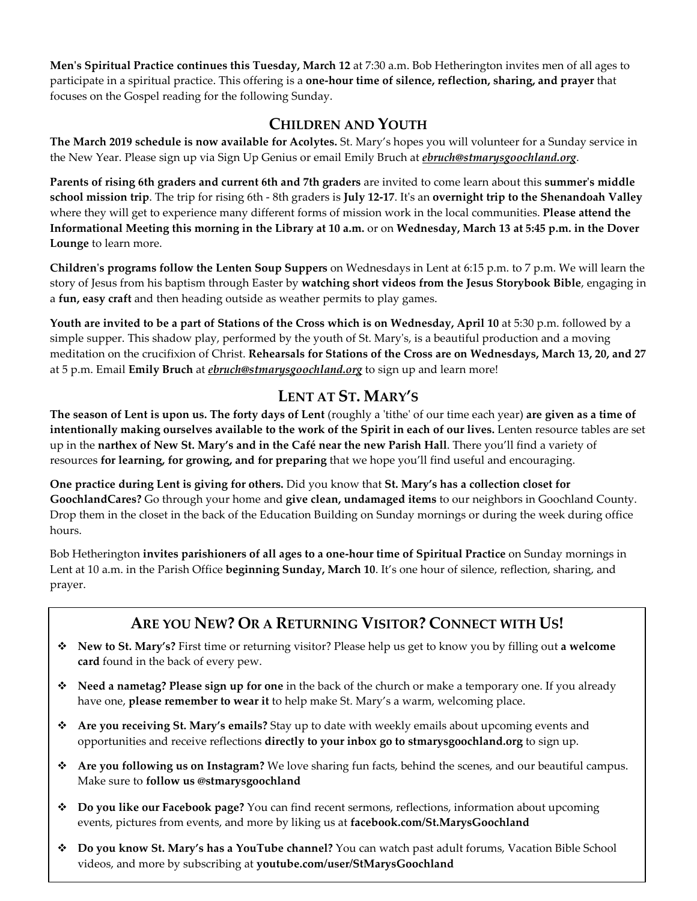**Men's Spiritual Practice continues this Tuesday, March 12** at 7:30 a.m. Bob Hetherington invites men of all ages to participate in a spiritual practice. This offering is a **one-hour time of silence, reflection, sharing, and prayer** that focuses on the Gospel reading for the following Sunday.

### **CHILDREN AND YOUTH**

**The March 2019 schedule is now available for Acolytes.** St. Mary's hopes you will volunteer for a Sunday service in the New Year. Please sign up via Sign Up Genius or email Emily Bruch at *ebruch@stmarysgoochland.org*.

**Parents of rising 6th graders and current 6th and 7th graders** are invited to come learn about this **summer's middle school mission trip**. The trip for rising 6th - 8th graders is **July 12-17**. It's an **overnight trip to the Shenandoah Valley** where they will get to experience many different forms of mission work in the local communities. **Please attend the Informational Meeting this morning in the Library at 10 a.m.** or on **Wednesday, March 13 at 5:45 p.m. in the Dover Lounge** to learn more.

**Children's programs follow the Lenten Soup Suppers** on Wednesdays in Lent at 6:15 p.m. to 7 p.m. We will learn the story of Jesus from his baptism through Easter by **watching short videos from the Jesus Storybook Bible**, engaging in a **fun, easy craft** and then heading outside as weather permits to play games.

**Youth are invited to be a part of Stations of the Cross which is on Wednesday, April 10** at 5:30 p.m. followed by a simple supper. This shadow play, performed by the youth of St. Mary's, is a beautiful production and a moving meditation on the crucifixion of Christ. **Rehearsals for Stations of the Cross are on Wednesdays, March 13, 20, and 27** at 5 p.m. Email **Emily Bruch** at *ebruch@stmarysgoochland.org* to sign up and learn more!

## **LENT AT ST. MARY'S**

**The season of Lent is upon us. The forty days of Lent** (roughly a 'tithe' of our time each year) **are given as a time of intentionally making ourselves available to the work of the Spirit in each of our lives.** Lenten resource tables are set up in the **narthex of New St. Mary's and in the Café near the new Parish Hall**. There you'll find a variety of resources **for learning, for growing, and for preparing** that we hope you'll find useful and encouraging.

**One practice during Lent is giving for others.** Did you know that **St. Mary's has a collection closet for GoochlandCares?** Go through your home and **give clean, undamaged items** to our neighbors in Goochland County. Drop them in the closet in the back of the Education Building on Sunday mornings or during the week during office hours.

Bob Hetherington **invites parishioners of all ages to a one-hour time of Spiritual Practice** on Sunday mornings in Lent at 10 a.m. in the Parish Office **beginning Sunday, March 10**. It's one hour of silence, reflection, sharing, and prayer.

# **ARE YOU NEW? OR A RETURNING VISITOR? CONNECT WITH US!**

- **New to St. Mary's?** First time or returning visitor? Please help us get to know you by filling out **a welcome card** found in the back of every pew.
- **Need a nametag? Please sign up for one** in the back of the church or make a temporary one. If you already have one, **please remember to wear it** to help make St. Mary's a warm, welcoming place.
- **Are you receiving St. Mary's emails?** Stay up to date with weekly emails about upcoming events and opportunities and receive reflections **directly to your inbox go to stmarysgoochland.org** to sign up.
- **Are you following us on Instagram?** We love sharing fun facts, behind the scenes, and our beautiful campus. Make sure to **follow us @stmarysgoochland**
- **Do you like our Facebook page?** You can find recent sermons, reflections, information about upcoming events, pictures from events, and more by liking us at **facebook.com/St.MarysGoochland**
- **Do you know St. Mary's has a YouTube channel?** You can watch past adult forums, Vacation Bible School videos, and more by subscribing at **youtube.com/user/StMarysGoochland**